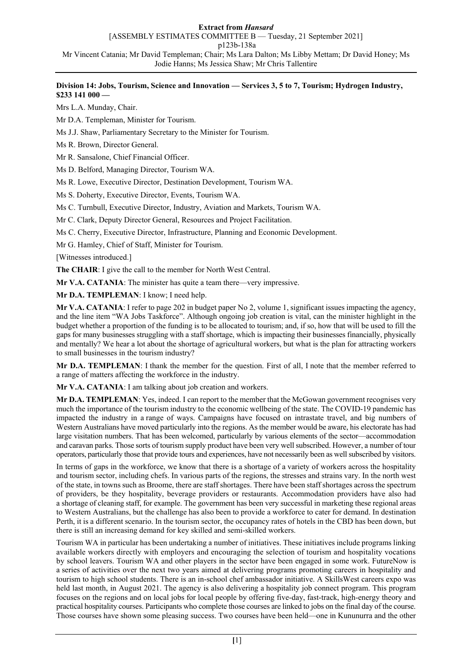### **Extract from** *Hansard*

[ASSEMBLY ESTIMATES COMMITTEE B — Tuesday, 21 September 2021]

p123b-138a

Mr Vincent Catania; Mr David Templeman; Chair; Ms Lara Dalton; Ms Libby Mettam; Dr David Honey; Ms Jodie Hanns; Ms Jessica Shaw; Mr Chris Tallentire

# **Division 14: Jobs, Tourism, Science and Innovation — Services 3, 5 to 7, Tourism; Hydrogen Industry, \$233 141 000 —**

Mrs L.A. Munday, Chair.

Mr D.A. Templeman, Minister for Tourism.

Ms J.J. Shaw, Parliamentary Secretary to the Minister for Tourism.

Ms R. Brown, Director General.

Mr R. Sansalone, Chief Financial Officer.

Ms D. Belford, Managing Director, Tourism WA.

Ms R. Lowe, Executive Director, Destination Development, Tourism WA.

Ms S. Doherty, Executive Director, Events, Tourism WA.

Ms C. Turnbull, Executive Director, Industry, Aviation and Markets, Tourism WA.

Mr C. Clark, Deputy Director General, Resources and Project Facilitation.

Ms C. Cherry, Executive Director, Infrastructure, Planning and Economic Development.

Mr G. Hamley, Chief of Staff, Minister for Tourism.

[Witnesses introduced.]

**The CHAIR**: I give the call to the member for North West Central.

**Mr V.A. CATANIA**: The minister has quite a team there—very impressive.

**Mr D.A. TEMPLEMAN**: I know; I need help.

**Mr V.A. CATANIA**: I refer to page 202 in budget paper No 2, volume 1, significant issues impacting the agency, and the line item "WA Jobs Taskforce". Although ongoing job creation is vital, can the minister highlight in the budget whether a proportion of the funding is to be allocated to tourism; and, if so, how that will be used to fill the gaps for many businesses struggling with a staff shortage, which is impacting their businesses financially, physically and mentally? We hear a lot about the shortage of agricultural workers, but what is the plan for attracting workers to small businesses in the tourism industry?

**Mr D.A. TEMPLEMAN**: I thank the member for the question. First of all, I note that the member referred to a range of matters affecting the workforce in the industry.

**Mr V.A. CATANIA**: I am talking about job creation and workers.

**Mr D.A. TEMPLEMAN**: Yes, indeed. I can report to the member that the McGowan government recognises very much the importance of the tourism industry to the economic wellbeing of the state. The COVID-19 pandemic has impacted the industry in a range of ways. Campaigns have focused on intrastate travel, and big numbers of Western Australians have moved particularly into the regions. As the member would be aware, his electorate has had large visitation numbers. That has been welcomed, particularly by various elements of the sector—accommodation and caravan parks. Those sorts of tourism supply product have been very well subscribed. However, a number of tour operators, particularly those that provide tours and experiences, have not necessarily been as well subscribed by visitors.

In terms of gaps in the workforce, we know that there is a shortage of a variety of workers across the hospitality and tourism sector, including chefs. In various parts of the regions, the stresses and strains vary. In the north west of the state, in towns such as Broome, there are staff shortages. There have been staff shortages across the spectrum of providers, be they hospitality, beverage providers or restaurants. Accommodation providers have also had a shortage of cleaning staff, for example. The government has been very successful in marketing these regional areas to Western Australians, but the challenge has also been to provide a workforce to cater for demand. In destination Perth, it is a different scenario. In the tourism sector, the occupancy rates of hotels in the CBD has been down, but there is still an increasing demand for key skilled and semi-skilled workers.

Tourism WA in particular has been undertaking a number of initiatives. These initiatives include programs linking available workers directly with employers and encouraging the selection of tourism and hospitality vocations by school leavers. Tourism WA and other players in the sector have been engaged in some work. FutureNow is a series of activities over the next two years aimed at delivering programs promoting careers in hospitality and tourism to high school students. There is an in-school chef ambassador initiative. A SkillsWest careers expo was held last month, in August 2021. The agency is also delivering a hospitality job connect program. This program focuses on the regions and on local jobs for local people by offering five-day, fast-track, high-energy theory and practical hospitality courses. Participants who complete those courses are linked to jobs on the final day of the course. Those courses have shown some pleasing success. Two courses have been held—one in Kununurra and the other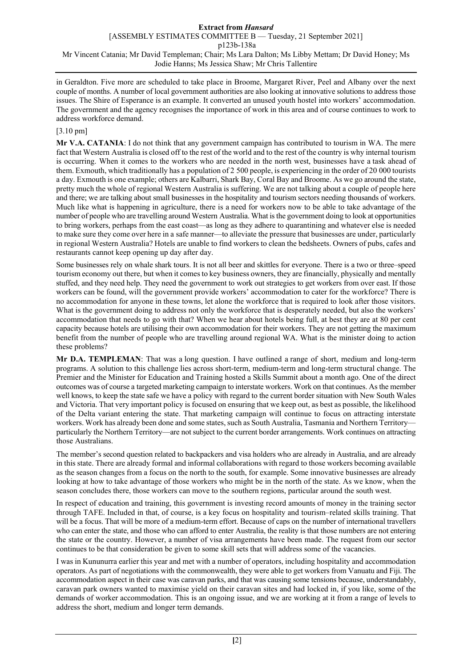in Geraldton. Five more are scheduled to take place in Broome, Margaret River, Peel and Albany over the next couple of months. A number of local government authorities are also looking at innovative solutions to address those issues. The Shire of Esperance is an example. It converted an unused youth hostel into workers' accommodation. The government and the agency recognises the importance of work in this area and of course continues to work to address workforce demand.

# [3.10 pm]

**Mr V.A. CATANIA**: I do not think that any government campaign has contributed to tourism in WA. The mere fact that Western Australia is closed off to the rest of the world and to the rest of the country is why internal tourism is occurring. When it comes to the workers who are needed in the north west, businesses have a task ahead of them. Exmouth, which traditionally has a population of 2 500 people, is experiencing in the order of 20 000 tourists a day. Exmouth is one example; others are Kalbarri, Shark Bay, Coral Bay and Broome. As we go around the state, pretty much the whole of regional Western Australia is suffering. We are not talking about a couple of people here and there; we are talking about small businesses in the hospitality and tourism sectors needing thousands of workers. Much like what is happening in agriculture, there is a need for workers now to be able to take advantage of the number of people who are travelling around Western Australia. What is the government doing to look at opportunities to bring workers, perhaps from the east coast—as long as they adhere to quarantining and whatever else is needed to make sure they come over here in a safe manner—to alleviate the pressure that businesses are under, particularly in regional Western Australia? Hotels are unable to find workers to clean the bedsheets. Owners of pubs, cafes and restaurants cannot keep opening up day after day.

Some businesses rely on whale shark tours. It is not all beer and skittles for everyone. There is a two or three–speed tourism economy out there, but when it comes to key business owners, they are financially, physically and mentally stuffed, and they need help. They need the government to work out strategies to get workers from over east. If those workers can be found, will the government provide workers' accommodation to cater for the workforce? There is no accommodation for anyone in these towns, let alone the workforce that is required to look after those visitors. What is the government doing to address not only the workforce that is desperately needed, but also the workers' accommodation that needs to go with that? When we hear about hotels being full, at best they are at 80 per cent capacity because hotels are utilising their own accommodation for their workers. They are not getting the maximum benefit from the number of people who are travelling around regional WA. What is the minister doing to action these problems?

**Mr D.A. TEMPLEMAN**: That was a long question. I have outlined a range of short, medium and long-term programs. A solution to this challenge lies across short-term, medium-term and long-term structural change. The Premier and the Minister for Education and Training hosted a Skills Summit about a month ago. One of the direct outcomes was of course a targeted marketing campaign to interstate workers. Work on that continues. As the member well knows, to keep the state safe we have a policy with regard to the current border situation with New South Wales and Victoria. That very important policy is focused on ensuring that we keep out, as best as possible, the likelihood of the Delta variant entering the state. That marketing campaign will continue to focus on attracting interstate workers. Work has already been done and some states, such as South Australia, Tasmania and Northern Territory particularly the Northern Territory—are not subject to the current border arrangements. Work continues on attracting those Australians.

The member's second question related to backpackers and visa holders who are already in Australia, and are already in this state. There are already formal and informal collaborations with regard to those workers becoming available as the season changes from a focus on the north to the south, for example. Some innovative businesses are already looking at how to take advantage of those workers who might be in the north of the state. As we know, when the season concludes there, those workers can move to the southern regions, particular around the south west.

In respect of education and training, this government is investing record amounts of money in the training sector through TAFE. Included in that, of course, is a key focus on hospitality and tourism–related skills training. That will be a focus. That will be more of a medium-term effort. Because of caps on the number of international travellers who can enter the state, and those who can afford to enter Australia, the reality is that those numbers are not entering the state or the country. However, a number of visa arrangements have been made. The request from our sector continues to be that consideration be given to some skill sets that will address some of the vacancies.

I was in Kununurra earlier this year and met with a number of operators, including hospitality and accommodation operators. As part of negotiations with the commonwealth, they were able to get workers from Vanuatu and Fiji. The accommodation aspect in their case was caravan parks, and that was causing some tensions because, understandably, caravan park owners wanted to maximise yield on their caravan sites and had locked in, if you like, some of the demands of worker accommodation. This is an ongoing issue, and we are working at it from a range of levels to address the short, medium and longer term demands.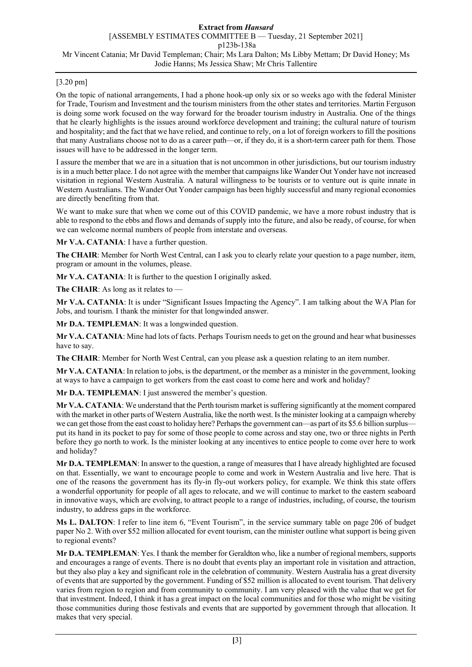# [3.20 pm]

On the topic of national arrangements, I had a phone hook-up only six or so weeks ago with the federal Minister for Trade, Tourism and Investment and the tourism ministers from the other states and territories. Martin Ferguson is doing some work focused on the way forward for the broader tourism industry in Australia. One of the things that he clearly highlights is the issues around workforce development and training; the cultural nature of tourism and hospitality; and the fact that we have relied, and continue to rely, on a lot of foreign workers to fill the positions that many Australians choose not to do as a career path—or, if they do, it is a short-term career path for them. Those issues will have to be addressed in the longer term.

I assure the member that we are in a situation that is not uncommon in other jurisdictions, but our tourism industry is in a much better place. I do not agree with the member that campaigns like Wander Out Yonder have not increased visitation in regional Western Australia. A natural willingness to be tourists or to venture out is quite innate in Western Australians. The Wander Out Yonder campaign has been highly successful and many regional economies are directly benefiting from that.

We want to make sure that when we come out of this COVID pandemic, we have a more robust industry that is able to respond to the ebbs and flows and demands of supply into the future, and also be ready, of course, for when we can welcome normal numbers of people from interstate and overseas.

**Mr V.A. CATANIA**: I have a further question.

**The CHAIR**: Member for North West Central, can I ask you to clearly relate your question to a page number, item, program or amount in the volumes, please.

**Mr V.A. CATANIA**: It is further to the question I originally asked.

**The CHAIR**: As long as it relates to —

**Mr V.A. CATANIA**: It is under "Significant Issues Impacting the Agency". I am talking about the WA Plan for Jobs, and tourism. I thank the minister for that longwinded answer.

**Mr D.A. TEMPLEMAN**: It was a longwinded question.

**Mr V.A. CATANIA**: Mine had lots of facts. Perhaps Tourism needs to get on the ground and hear what businesses have to say.

**The CHAIR**: Member for North West Central, can you please ask a question relating to an item number.

**Mr V.A. CATANIA**: In relation to jobs, is the department, or the member as a minister in the government, looking at ways to have a campaign to get workers from the east coast to come here and work and holiday?

**Mr D.A. TEMPLEMAN**: I just answered the member's question.

**Mr V.A. CATANIA**: We understand that the Perth tourism market is suffering significantly at the moment compared with the market in other parts of Western Australia, like the north west. Is the minister looking at a campaign whereby we can get those from the east coast to holiday here? Perhaps the government can—as part of its \$5.6 billion surplus put its hand in its pocket to pay for some of those people to come across and stay one, two or three nights in Perth before they go north to work. Is the minister looking at any incentives to entice people to come over here to work and holiday?

**Mr D.A. TEMPLEMAN**: In answer to the question, a range of measures that I have already highlighted are focused on that. Essentially, we want to encourage people to come and work in Western Australia and live here. That is one of the reasons the government has its fly-in fly-out workers policy, for example. We think this state offers a wonderful opportunity for people of all ages to relocate, and we will continue to market to the eastern seaboard in innovative ways, which are evolving, to attract people to a range of industries, including, of course, the tourism industry, to address gaps in the workforce.

**Ms L. DALTON**: I refer to line item 6, "Event Tourism", in the service summary table on page 206 of budget paper No 2. With over \$52 million allocated for event tourism, can the minister outline what support is being given to regional events?

**Mr D.A. TEMPLEMAN**: Yes. I thank the member for Geraldton who, like a number of regional members, supports and encourages a range of events. There is no doubt that events play an important role in visitation and attraction, but they also play a key and significant role in the celebration of community. Western Australia has a great diversity of events that are supported by the government. Funding of \$52 million is allocated to event tourism. That delivery varies from region to region and from community to community. I am very pleased with the value that we get for that investment. Indeed, I think it has a great impact on the local communities and for those who might be visiting those communities during those festivals and events that are supported by government through that allocation. It makes that very special.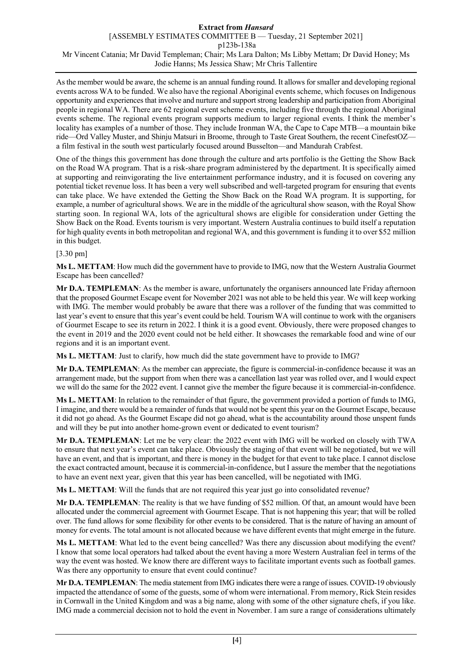As the member would be aware, the scheme is an annual funding round. It allows for smaller and developing regional events across WA to be funded. We also have the regional Aboriginal events scheme, which focuses on Indigenous opportunity and experiences that involve and nurture and support strong leadership and participation from Aboriginal people in regional WA. There are 62 regional event scheme events, including five through the regional Aboriginal events scheme. The regional events program supports medium to larger regional events. I think the member's locality has examples of a number of those. They include Ironman WA, the Cape to Cape MTB—a mountain bike ride—Ord Valley Muster, and Shinju Matsuri in Broome, through to Taste Great Southern, the recent CinefestOZ a film festival in the south west particularly focused around Busselton—and Mandurah Crabfest.

One of the things this government has done through the culture and arts portfolio is the Getting the Show Back on the Road WA program. That is a risk-share program administered by the department. It is specifically aimed at supporting and reinvigorating the live entertainment performance industry, and it is focused on covering any potential ticket revenue loss. It has been a very well subscribed and well-targeted program for ensuring that events can take place. We have extended the Getting the Show Back on the Road WA program. It is supporting, for example, a number of agricultural shows. We are in the middle of the agricultural show season, with the Royal Show starting soon. In regional WA, lots of the agricultural shows are eligible for consideration under Getting the Show Back on the Road. Events tourism is very important. Western Australia continues to build itself a reputation for high quality events in both metropolitan and regional WA, and this government is funding it to over \$52 million in this budget.

# [3.30 pm]

**Ms L. METTAM**: How much did the government have to provide to IMG, now that the Western Australia Gourmet Escape has been cancelled?

**Mr D.A. TEMPLEMAN**: As the member is aware, unfortunately the organisers announced late Friday afternoon that the proposed Gourmet Escape event for November 2021 was not able to be held this year. We will keep working with IMG. The member would probably be aware that there was a rollover of the funding that was committed to last year's event to ensure that this year's event could be held. Tourism WA will continue to work with the organisers of Gourmet Escape to see its return in 2022. I think it is a good event. Obviously, there were proposed changes to the event in 2019 and the 2020 event could not be held either. It showcases the remarkable food and wine of our regions and it is an important event.

**Ms L. METTAM**: Just to clarify, how much did the state government have to provide to IMG?

**Mr D.A. TEMPLEMAN**: As the member can appreciate, the figure is commercial-in-confidence because it was an arrangement made, but the support from when there was a cancellation last year was rolled over, and I would expect we will do the same for the 2022 event. I cannot give the member the figure because it is commercial-in-confidence.

**Ms L. METTAM**: In relation to the remainder of that figure, the government provided a portion of funds to IMG, I imagine, and there would be a remainder of funds that would not be spent this year on the Gourmet Escape, because it did not go ahead. As the Gourmet Escape did not go ahead, what is the accountability around those unspent funds and will they be put into another home-grown event or dedicated to event tourism?

**Mr D.A. TEMPLEMAN**: Let me be very clear: the 2022 event with IMG will be worked on closely with TWA to ensure that next year's event can take place. Obviously the staging of that event will be negotiated, but we will have an event, and that is important, and there is money in the budget for that event to take place. I cannot disclose the exact contracted amount, because it is commercial-in-confidence, but I assure the member that the negotiations to have an event next year, given that this year has been cancelled, will be negotiated with IMG.

**Ms L. METTAM**: Will the funds that are not required this year just go into consolidated revenue?

**Mr D.A. TEMPLEMAN**: The reality is that we have funding of \$52 million. Of that, an amount would have been allocated under the commercial agreement with Gourmet Escape. That is not happening this year; that will be rolled over. The fund allows for some flexibility for other events to be considered. That is the nature of having an amount of money for events. The total amount is not allocated because we have different events that might emerge in the future.

**Ms L. METTAM**: What led to the event being cancelled? Was there any discussion about modifying the event? I know that some local operators had talked about the event having a more Western Australian feel in terms of the way the event was hosted. We know there are different ways to facilitate important events such as football games. Was there any opportunity to ensure that event could continue?

**Mr D.A. TEMPLEMAN**: The media statement from IMG indicates there were a range of issues. COVID-19 obviously impacted the attendance of some of the guests, some of whom were international. From memory, Rick Stein resides in Cornwall in the United Kingdom and was a big name, along with some of the other signature chefs, if you like. IMG made a commercial decision not to hold the event in November. I am sure a range of considerations ultimately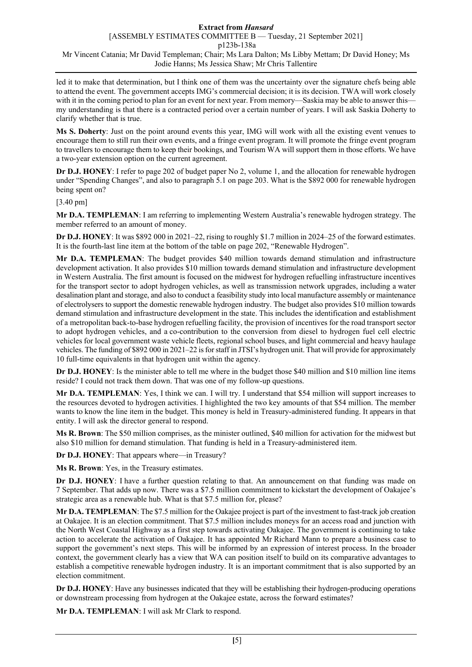led it to make that determination, but I think one of them was the uncertainty over the signature chefs being able to attend the event. The government accepts IMG's commercial decision; it is its decision. TWA will work closely with it in the coming period to plan for an event for next year. From memory—Saskia may be able to answer this my understanding is that there is a contracted period over a certain number of years. I will ask Saskia Doherty to clarify whether that is true.

**Ms S. Doherty**: Just on the point around events this year, IMG will work with all the existing event venues to encourage them to still run their own events, and a fringe event program. It will promote the fringe event program to travellers to encourage them to keep their bookings, and Tourism WA will support them in those efforts. We have a two-year extension option on the current agreement.

**Dr D.J. HONEY**: I refer to page 202 of budget paper No 2, volume 1, and the allocation for renewable hydrogen under "Spending Changes", and also to paragraph 5.1 on page 203. What is the \$892 000 for renewable hydrogen being spent on?

[3.40 pm]

**Mr D.A. TEMPLEMAN**: I am referring to implementing Western Australia's renewable hydrogen strategy. The member referred to an amount of money.

**Dr D.J. HONEY**: It was \$892 000 in 2021–22, rising to roughly \$1.7 million in 2024–25 of the forward estimates. It is the fourth-last line item at the bottom of the table on page 202, "Renewable Hydrogen".

**Mr D.A. TEMPLEMAN**: The budget provides \$40 million towards demand stimulation and infrastructure development activation. It also provides \$10 million towards demand stimulation and infrastructure development in Western Australia. The first amount is focused on the midwest for hydrogen refuelling infrastructure incentives for the transport sector to adopt hydrogen vehicles, as well as transmission network upgrades, including a water desalination plant and storage, and also to conduct a feasibility study into local manufacture assembly or maintenance of electrolysers to support the domestic renewable hydrogen industry. The budget also provides \$10 million towards demand stimulation and infrastructure development in the state. This includes the identification and establishment of a metropolitan back-to-base hydrogen refuelling facility, the provision of incentives for the road transport sector to adopt hydrogen vehicles, and a co-contribution to the conversion from diesel to hydrogen fuel cell electric vehicles for local government waste vehicle fleets, regional school buses, and light commercial and heavy haulage vehicles. The funding of \$892 000 in 2021–22 is for staff in JTSI's hydrogen unit. That will provide for approximately 10 full-time equivalents in that hydrogen unit within the agency.

**Dr D.J. HONEY**: Is the minister able to tell me where in the budget those \$40 million and \$10 million line items reside? I could not track them down. That was one of my follow-up questions.

**Mr D.A. TEMPLEMAN**: Yes, I think we can. I will try. I understand that \$54 million will support increases to the resources devoted to hydrogen activities. I highlighted the two key amounts of that \$54 million. The member wants to know the line item in the budget. This money is held in Treasury-administered funding. It appears in that entity. I will ask the director general to respond.

**Ms R. Brown**: The \$50 million comprises, as the minister outlined, \$40 million for activation for the midwest but also \$10 million for demand stimulation. That funding is held in a Treasury-administered item.

**Dr D.J. HONEY**: That appears where—in Treasury?

**Ms R. Brown**: Yes, in the Treasury estimates.

**Dr D.J. HONEY**: I have a further question relating to that. An announcement on that funding was made on 7 September. That adds up now. There was a \$7.5 million commitment to kickstart the development of Oakajee's strategic area as a renewable hub. What is that \$7.5 million for, please?

**Mr D.A. TEMPLEMAN**: The \$7.5 million for the Oakajee project is part of the investment to fast-track job creation at Oakajee. It is an election commitment. That \$7.5 million includes moneys for an access road and junction with the North West Coastal Highway as a first step towards activating Oakajee. The government is continuing to take action to accelerate the activation of Oakajee. It has appointed Mr Richard Mann to prepare a business case to support the government's next steps. This will be informed by an expression of interest process. In the broader context, the government clearly has a view that WA can position itself to build on its comparative advantages to establish a competitive renewable hydrogen industry. It is an important commitment that is also supported by an election commitment.

**Dr D.J. HONEY**: Have any businesses indicated that they will be establishing their hydrogen-producing operations or downstream processing from hydrogen at the Oakajee estate, across the forward estimates?

**Mr D.A. TEMPLEMAN**: I will ask Mr Clark to respond.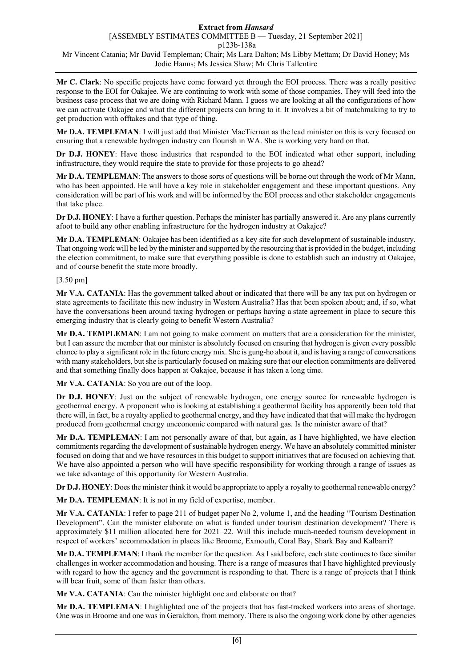**Mr C. Clark**: No specific projects have come forward yet through the EOI process. There was a really positive response to the EOI for Oakajee. We are continuing to work with some of those companies. They will feed into the business case process that we are doing with Richard Mann. I guess we are looking at all the configurations of how we can activate Oakajee and what the different projects can bring to it. It involves a bit of matchmaking to try to get production with offtakes and that type of thing.

**Mr D.A. TEMPLEMAN**: I will just add that Minister MacTiernan as the lead minister on this is very focused on ensuring that a renewable hydrogen industry can flourish in WA. She is working very hard on that.

**Dr D.J. HONEY**: Have those industries that responded to the EOI indicated what other support, including infrastructure, they would require the state to provide for those projects to go ahead?

**Mr D.A. TEMPLEMAN**: The answers to those sorts of questions will be borne out through the work of Mr Mann, who has been appointed. He will have a key role in stakeholder engagement and these important questions. Any consideration will be part of his work and will be informed by the EOI process and other stakeholder engagements that take place.

**Dr D.J. HONEY**: I have a further question. Perhaps the minister has partially answered it. Are any plans currently afoot to build any other enabling infrastructure for the hydrogen industry at Oakajee?

**Mr D.A. TEMPLEMAN**: Oakajee has been identified as a key site for such development of sustainable industry. That ongoing work will be led by the minister and supported by the resourcing that is provided in the budget, including the election commitment, to make sure that everything possible is done to establish such an industry at Oakajee, and of course benefit the state more broadly.

[3.50 pm]

**Mr V.A. CATANIA**: Has the government talked about or indicated that there will be any tax put on hydrogen or state agreements to facilitate this new industry in Western Australia? Has that been spoken about; and, if so, what have the conversations been around taxing hydrogen or perhaps having a state agreement in place to secure this emerging industry that is clearly going to benefit Western Australia?

**Mr D.A. TEMPLEMAN**: I am not going to make comment on matters that are a consideration for the minister, but I can assure the member that our minister is absolutely focused on ensuring that hydrogen is given every possible chance to play a significant role in the future energy mix. She is gung-ho about it, and is having a range of conversations with many stakeholders, but she is particularly focused on making sure that our election commitments are delivered and that something finally does happen at Oakajee, because it has taken a long time.

**Mr V.A. CATANIA**: So you are out of the loop.

**Dr D.J. HONEY**: Just on the subject of renewable hydrogen, one energy source for renewable hydrogen is geothermal energy. A proponent who is looking at establishing a geothermal facility has apparently been told that there will, in fact, be a royalty applied to geothermal energy, and they have indicated that that will make the hydrogen produced from geothermal energy uneconomic compared with natural gas. Is the minister aware of that?

**Mr D.A. TEMPLEMAN**: I am not personally aware of that, but again, as I have highlighted, we have election commitments regarding the development of sustainable hydrogen energy. We have an absolutely committed minister focused on doing that and we have resources in this budget to support initiatives that are focused on achieving that. We have also appointed a person who will have specific responsibility for working through a range of issues as we take advantage of this opportunity for Western Australia.

**Dr D.J. HONEY**: Does the minister think it would be appropriate to apply a royalty to geothermal renewable energy?

**Mr D.A. TEMPLEMAN**: It is not in my field of expertise, member.

**Mr V.A. CATANIA**: I refer to page 211 of budget paper No 2, volume 1, and the heading "Tourism Destination" Development". Can the minister elaborate on what is funded under tourism destination development? There is approximately \$11 million allocated here for 2021–22. Will this include much-needed tourism development in respect of workers' accommodation in places like Broome, Exmouth, Coral Bay, Shark Bay and Kalbarri?

**Mr D.A. TEMPLEMAN**: I thank the member for the question. As I said before, each state continues to face similar challenges in worker accommodation and housing. There is a range of measures that I have highlighted previously with regard to how the agency and the government is responding to that. There is a range of projects that I think will bear fruit, some of them faster than others.

**Mr V.A. CATANIA**: Can the minister highlight one and elaborate on that?

**Mr D.A. TEMPLEMAN**: I highlighted one of the projects that has fast-tracked workers into areas of shortage. One was in Broome and one was in Geraldton, from memory. There is also the ongoing work done by other agencies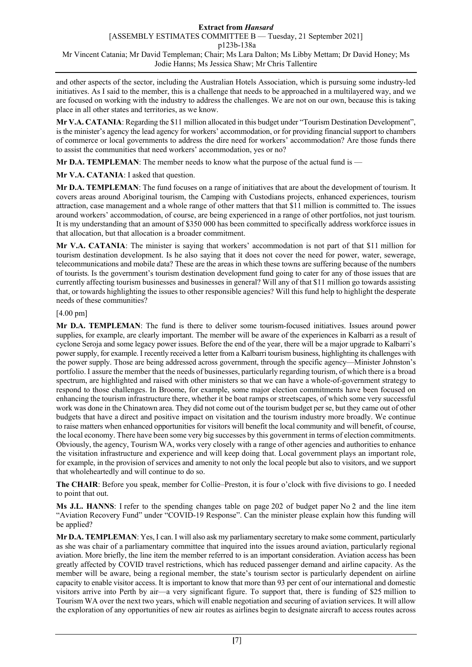and other aspects of the sector, including the Australian Hotels Association, which is pursuing some industry-led initiatives. As I said to the member, this is a challenge that needs to be approached in a multilayered way, and we are focused on working with the industry to address the challenges. We are not on our own, because this is taking place in all other states and territories, as we know.

**Mr V.A. CATANIA**: Regarding the \$11 million allocated in this budget under "Tourism Destination Development", is the minister's agency the lead agency for workers' accommodation, or for providing financial support to chambers of commerce or local governments to address the dire need for workers' accommodation? Are those funds there to assist the communities that need workers' accommodation, yes or no?

**Mr D.A. TEMPLEMAN:** The member needs to know what the purpose of the actual fund is —

**Mr V.A. CATANIA**: I asked that question.

**Mr D.A. TEMPLEMAN**: The fund focuses on a range of initiatives that are about the development of tourism. It covers areas around Aboriginal tourism, the Camping with Custodians projects, enhanced experiences, tourism attraction, case management and a whole range of other matters that that \$11 million is committed to. The issues around workers' accommodation, of course, are being experienced in a range of other portfolios, not just tourism. It is my understanding that an amount of \$350 000 has been committed to specifically address workforce issues in that allocation, but that allocation is a broader commitment.

**Mr V.A. CATANIA**: The minister is saying that workers' accommodation is not part of that \$11 million for tourism destination development. Is he also saying that it does not cover the need for power, water, sewerage, telecommunications and mobile data? These are the areas in which these towns are suffering because of the numbers of tourists. Is the government's tourism destination development fund going to cater for any of those issues that are currently affecting tourism businesses and businesses in general? Will any of that \$11 million go towards assisting that, or towards highlighting the issues to other responsible agencies? Will this fund help to highlight the desperate needs of these communities?

# [4.00 pm]

**Mr D.A. TEMPLEMAN**: The fund is there to deliver some tourism-focused initiatives. Issues around power supplies, for example, are clearly important. The member will be aware of the experiences in Kalbarri as a result of cyclone Seroja and some legacy power issues. Before the end of the year, there will be a major upgrade to Kalbarri's power supply, for example. I recently received a letter from a Kalbarri tourism business, highlighting its challenges with the power supply. Those are being addressed across government, through the specific agency—Minister Johnston's portfolio. I assure the member that the needs of businesses, particularly regarding tourism, of which there is a broad spectrum, are highlighted and raised with other ministers so that we can have a whole-of-government strategy to respond to those challenges. In Broome, for example, some major election commitments have been focused on enhancing the tourism infrastructure there, whether it be boat ramps or streetscapes, of which some very successful work was done in the Chinatown area. They did not come out of the tourism budget per se, but they came out of other budgets that have a direct and positive impact on visitation and the tourism industry more broadly. We continue to raise matters when enhanced opportunities for visitors will benefit the local community and will benefit, of course, the local economy. There have been some very big successes by this government in terms of election commitments. Obviously, the agency, Tourism WA, works very closely with a range of other agencies and authorities to enhance the visitation infrastructure and experience and will keep doing that. Local government plays an important role, for example, in the provision of services and amenity to not only the local people but also to visitors, and we support that wholeheartedly and will continue to do so.

**The CHAIR**: Before you speak, member for Collie–Preston, it is four o'clock with five divisions to go. I needed to point that out.

**Ms J.L. HANNS**: I refer to the spending changes table on page 202 of budget paper No 2 and the line item "Aviation Recovery Fund" under "COVID-19 Response". Can the minister please explain how this funding will be applied?

**Mr D.A. TEMPLEMAN**: Yes, I can. I will also ask my parliamentary secretary to make some comment, particularly as she was chair of a parliamentary committee that inquired into the issues around aviation, particularly regional aviation. More briefly, the line item the member referred to is an important consideration. Aviation access has been greatly affected by COVID travel restrictions, which has reduced passenger demand and airline capacity. As the member will be aware, being a regional member, the state's tourism sector is particularly dependent on airline capacity to enable visitor access. It is important to know that more than 93 per cent of our international and domestic visitors arrive into Perth by air—a very significant figure. To support that, there is funding of \$25 million to Tourism WA over the next two years, which will enable negotiation and securing of aviation services. It will allow the exploration of any opportunities of new air routes as airlines begin to designate aircraft to access routes across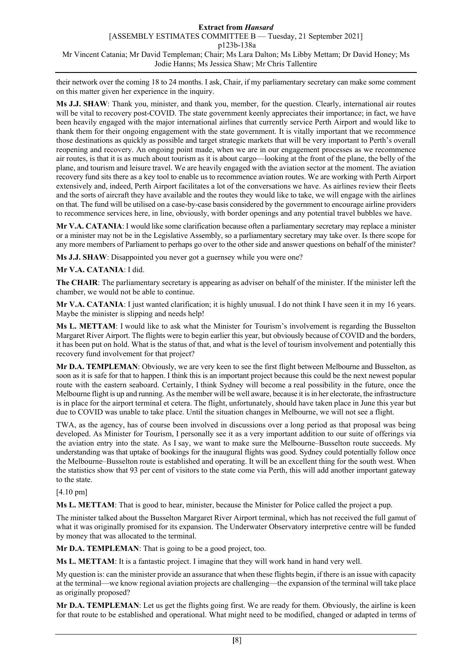their network over the coming 18 to 24 months. I ask, Chair, if my parliamentary secretary can make some comment on this matter given her experience in the inquiry.

**Ms J.J. SHAW**: Thank you, minister, and thank you, member, for the question. Clearly, international air routes will be vital to recovery post-COVID. The state government keenly appreciates their importance; in fact, we have been heavily engaged with the major international airlines that currently service Perth Airport and would like to thank them for their ongoing engagement with the state government. It is vitally important that we recommence those destinations as quickly as possible and target strategic markets that will be very important to Perth's overall reopening and recovery. An ongoing point made, when we are in our engagement processes as we recommence air routes, is that it is as much about tourism as it is about cargo—looking at the front of the plane, the belly of the plane, and tourism and leisure travel. We are heavily engaged with the aviation sector at the moment. The aviation recovery fund sits there as a key tool to enable us to recommence aviation routes. We are working with Perth Airport extensively and, indeed, Perth Airport facilitates a lot of the conversations we have. As airlines review their fleets and the sorts of aircraft they have available and the routes they would like to take, we will engage with the airlines on that. The fund will be utilised on a case-by-case basis considered by the government to encourage airline providers to recommence services here, in line, obviously, with border openings and any potential travel bubbles we have.

**Mr V.A. CATANIA**: I would like some clarification because often a parliamentary secretary may replace a minister or a minister may not be in the Legislative Assembly, so a parliamentary secretary may take over. Is there scope for any more members of Parliament to perhaps go over to the other side and answer questions on behalf of the minister?

**Ms J.J. SHAW**: Disappointed you never got a guernsey while you were one?

# **Mr V.A. CATANIA**: I did.

**The CHAIR**: The parliamentary secretary is appearing as adviser on behalf of the minister. If the minister left the chamber, we would not be able to continue.

**Mr V.A. CATANIA**: I just wanted clarification; it is highly unusual. I do not think I have seen it in my 16 years. Maybe the minister is slipping and needs help!

**Ms L. METTAM**: I would like to ask what the Minister for Tourism's involvement is regarding the Busselton Margaret River Airport. The flights were to begin earlier this year, but obviously because of COVID and the borders, it has been put on hold. What is the status of that, and what is the level of tourism involvement and potentially this recovery fund involvement for that project?

**Mr D.A. TEMPLEMAN**: Obviously, we are very keen to see the first flight between Melbourne and Busselton, as soon as it is safe for that to happen. I think this is an important project because this could be the next newest popular route with the eastern seaboard. Certainly, I think Sydney will become a real possibility in the future, once the Melbourne flight is up and running. As the member will be well aware, because it is in her electorate, the infrastructure is in place for the airport terminal et cetera. The flight, unfortunately, should have taken place in June this year but due to COVID was unable to take place. Until the situation changes in Melbourne, we will not see a flight.

TWA, as the agency, has of course been involved in discussions over a long period as that proposal was being developed. As Minister for Tourism, I personally see it as a very important addition to our suite of offerings via the aviation entry into the state. As I say, we want to make sure the Melbourne–Busselton route succeeds. My understanding was that uptake of bookings for the inaugural flights was good. Sydney could potentially follow once the Melbourne–Busselton route is established and operating. It will be an excellent thing for the south west. When the statistics show that 93 per cent of visitors to the state come via Perth, this will add another important gateway to the state.

### [4.10 pm]

**Ms L. METTAM**: That is good to hear, minister, because the Minister for Police called the project a pup.

The minister talked about the Busselton Margaret River Airport terminal, which has not received the full gamut of what it was originally promised for its expansion. The Underwater Observatory interpretive centre will be funded by money that was allocated to the terminal.

**Mr D.A. TEMPLEMAN**: That is going to be a good project, too.

**Ms L. METTAM**: It is a fantastic project. I imagine that they will work hand in hand very well.

My question is: can the minister provide an assurance that when these flights begin, if there is an issue with capacity at the terminal—we know regional aviation projects are challenging—the expansion of the terminal will take place as originally proposed?

**Mr D.A. TEMPLEMAN**: Let us get the flights going first. We are ready for them. Obviously, the airline is keen for that route to be established and operational. What might need to be modified, changed or adapted in terms of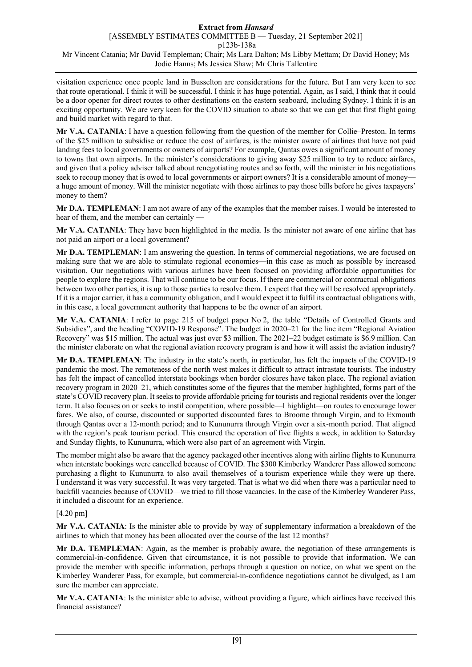visitation experience once people land in Busselton are considerations for the future. But I am very keen to see that route operational. I think it will be successful. I think it has huge potential. Again, as I said, I think that it could be a door opener for direct routes to other destinations on the eastern seaboard, including Sydney. I think it is an exciting opportunity. We are very keen for the COVID situation to abate so that we can get that first flight going and build market with regard to that.

**Mr V.A. CATANIA**: I have a question following from the question of the member for Collie–Preston. In terms of the \$25 million to subsidise or reduce the cost of airfares, is the minister aware of airlines that have not paid landing fees to local governments or owners of airports? For example, Qantas owes a significant amount of money to towns that own airports. In the minister's considerations to giving away \$25 million to try to reduce airfares, and given that a policy adviser talked about renegotiating routes and so forth, will the minister in his negotiations seek to recoup money that is owed to local governments or airport owners? It is a considerable amount of money a huge amount of money. Will the minister negotiate with those airlines to pay those bills before he gives taxpayers' money to them?

**Mr D.A. TEMPLEMAN**: I am not aware of any of the examples that the member raises. I would be interested to hear of them, and the member can certainly -

**Mr V.A. CATANIA**: They have been highlighted in the media. Is the minister not aware of one airline that has not paid an airport or a local government?

**Mr D.A. TEMPLEMAN**: I am answering the question. In terms of commercial negotiations, we are focused on making sure that we are able to stimulate regional economies—in this case as much as possible by increased visitation. Our negotiations with various airlines have been focused on providing affordable opportunities for people to explore the regions. That will continue to be our focus. If there are commercial or contractual obligations between two other parties, it is up to those parties to resolve them. I expect that they will be resolved appropriately. If it is a major carrier, it has a community obligation, and I would expect it to fulfil its contractual obligations with, in this case, a local government authority that happens to be the owner of an airport.

**Mr V.A. CATANIA**: I refer to page 215 of budget paper No 2, the table "Details of Controlled Grants and Subsidies", and the heading "COVID-19 Response". The budget in 2020–21 for the line item "Regional Aviation Recovery" was \$15 million. The actual was just over \$3 million. The 2021–22 budget estimate is \$6.9 million. Can the minister elaborate on what the regional aviation recovery program is and how it will assist the aviation industry?

**Mr D.A. TEMPLEMAN**: The industry in the state's north, in particular, has felt the impacts of the COVID-19 pandemic the most. The remoteness of the north west makes it difficult to attract intrastate tourists. The industry has felt the impact of cancelled interstate bookings when border closures have taken place. The regional aviation recovery program in 2020–21, which constitutes some of the figures that the member highlighted, forms part of the state's COVID recovery plan. It seeks to provide affordable pricing for tourists and regional residents over the longer term. It also focuses on or seeks to instil competition, where possible—I highlight—on routes to encourage lower fares. We also, of course, discounted or supported discounted fares to Broome through Virgin, and to Exmouth through Qantas over a 12-month period; and to Kununurra through Virgin over a six-month period. That aligned with the region's peak tourism period. This ensured the operation of five flights a week, in addition to Saturday and Sunday flights, to Kununurra, which were also part of an agreement with Virgin.

The member might also be aware that the agency packaged other incentives along with airline flights to Kununurra when interstate bookings were cancelled because of COVID. The \$300 Kimberley Wanderer Pass allowed someone purchasing a flight to Kununurra to also avail themselves of a tourism experience while they were up there. I understand it was very successful. It was very targeted. That is what we did when there was a particular need to backfill vacancies because of COVID—we tried to fill those vacancies. In the case of the Kimberley Wanderer Pass, it included a discount for an experience.

### [4.20 pm]

**Mr V.A. CATANIA**: Is the minister able to provide by way of supplementary information a breakdown of the airlines to which that money has been allocated over the course of the last 12 months?

**Mr D.A. TEMPLEMAN**: Again, as the member is probably aware, the negotiation of these arrangements is commercial-in-confidence. Given that circumstance, it is not possible to provide that information. We can provide the member with specific information, perhaps through a question on notice, on what we spent on the Kimberley Wanderer Pass, for example, but commercial-in-confidence negotiations cannot be divulged, as I am sure the member can appreciate.

**Mr V.A. CATANIA**: Is the minister able to advise, without providing a figure, which airlines have received this financial assistance?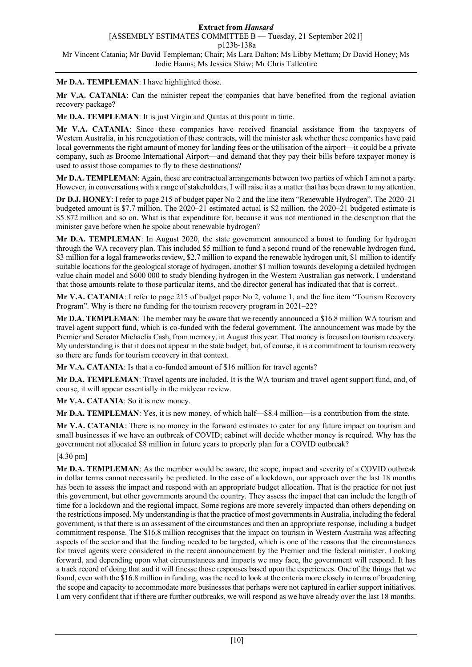# **Mr D.A. TEMPLEMAN**: I have highlighted those.

**Mr V.A. CATANIA**: Can the minister repeat the companies that have benefited from the regional aviation recovery package?

**Mr D.A. TEMPLEMAN**: It is just Virgin and Qantas at this point in time.

**Mr V.A. CATANIA**: Since these companies have received financial assistance from the taxpayers of Western Australia, in his renegotiation of these contracts, will the minister ask whether these companies have paid local governments the right amount of money for landing fees or the utilisation of the airport—it could be a private company, such as Broome International Airport—and demand that they pay their bills before taxpayer money is used to assist those companies to fly to these destinations?

**Mr D.A. TEMPLEMAN**: Again, these are contractual arrangements between two parties of which I am not a party. However, in conversations with a range of stakeholders, I will raise it as a matter that has been drawn to my attention.

**Dr D.J. HONEY**: I refer to page 215 of budget paper No 2 and the line item "Renewable Hydrogen". The 2020–21 budgeted amount is \$7.7 million. The 2020–21 estimated actual is \$2 million, the 2020–21 budgeted estimate is \$5.872 million and so on. What is that expenditure for, because it was not mentioned in the description that the minister gave before when he spoke about renewable hydrogen?

**Mr D.A. TEMPLEMAN**: In August 2020, the state government announced a boost to funding for hydrogen through the WA recovery plan. This included \$5 million to fund a second round of the renewable hydrogen fund, \$3 million for a legal frameworks review, \$2.7 million to expand the renewable hydrogen unit, \$1 million to identify suitable locations for the geological storage of hydrogen, another \$1 million towards developing a detailed hydrogen value chain model and \$600 000 to study blending hydrogen in the Western Australian gas network. I understand that those amounts relate to those particular items, and the director general has indicated that that is correct.

**Mr V.A. CATANIA**: I refer to page 215 of budget paper No 2, volume 1, and the line item "Tourism Recovery Program". Why is there no funding for the tourism recovery program in 2021–22?

**Mr D.A. TEMPLEMAN**: The member may be aware that we recently announced a \$16.8 million WA tourism and travel agent support fund, which is co-funded with the federal government. The announcement was made by the Premier and Senator Michaelia Cash, from memory, in August this year. That money is focused on tourism recovery. My understanding is that it does not appear in the state budget, but, of course, it is a commitment to tourism recovery so there are funds for tourism recovery in that context.

**Mr V.A. CATANIA**: Is that a co-funded amount of \$16 million for travel agents?

**Mr D.A. TEMPLEMAN**: Travel agents are included. It is the WA tourism and travel agent support fund, and, of course, it will appear essentially in the midyear review.

**Mr V.A. CATANIA**: So it is new money.

**Mr D.A. TEMPLEMAN**: Yes, it is new money, of which half—\$8.4 million—is a contribution from the state.

**Mr V.A. CATANIA**: There is no money in the forward estimates to cater for any future impact on tourism and small businesses if we have an outbreak of COVID; cabinet will decide whether money is required. Why has the government not allocated \$8 million in future years to properly plan for a COVID outbreak?

# [4.30 pm]

**Mr D.A. TEMPLEMAN**: As the member would be aware, the scope, impact and severity of a COVID outbreak in dollar terms cannot necessarily be predicted. In the case of a lockdown, our approach over the last 18 months has been to assess the impact and respond with an appropriate budget allocation. That is the practice for not just this government, but other governments around the country. They assess the impact that can include the length of time for a lockdown and the regional impact. Some regions are more severely impacted than others depending on the restrictions imposed. My understanding is that the practice of most governments in Australia, including the federal government, is that there is an assessment of the circumstances and then an appropriate response, including a budget commitment response. The \$16.8 million recognises that the impact on tourism in Western Australia was affecting aspects of the sector and that the funding needed to be targeted, which is one of the reasons that the circumstances for travel agents were considered in the recent announcement by the Premier and the federal minister. Looking forward, and depending upon what circumstances and impacts we may face, the government will respond. It has a track record of doing that and it will finesse those responses based upon the experiences. One of the things that we found, even with the \$16.8 million in funding, was the need to look at the criteria more closely in terms of broadening the scope and capacity to accommodate more businesses that perhaps were not captured in earlier support initiatives. I am very confident that if there are further outbreaks, we will respond as we have already over the last 18 months.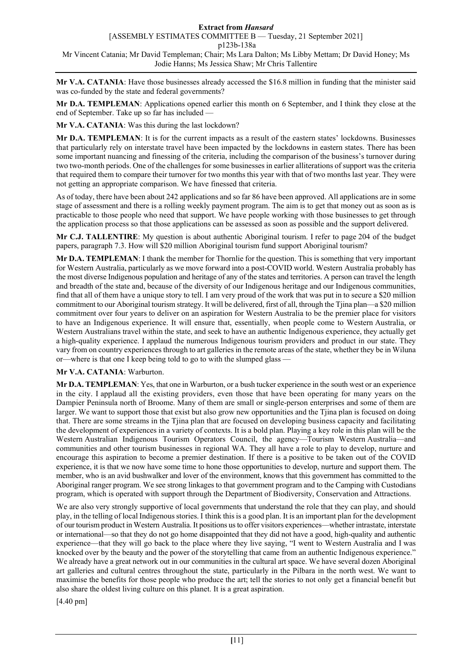**Mr V.A. CATANIA**: Have those businesses already accessed the \$16.8 million in funding that the minister said was co-funded by the state and federal governments?

**Mr D.A. TEMPLEMAN**: Applications opened earlier this month on 6 September, and I think they close at the end of September. Take up so far has included —

**Mr V.A. CATANIA**: Was this during the last lockdown?

**Mr D.A. TEMPLEMAN**: It is for the current impacts as a result of the eastern states' lockdowns. Businesses that particularly rely on interstate travel have been impacted by the lockdowns in eastern states. There has been some important nuancing and finessing of the criteria, including the comparison of the business's turnover during two two-month periods. One of the challenges for some businesses in earlier alliterations of support was the criteria that required them to compare their turnover for two months this year with that of two months last year. They were not getting an appropriate comparison. We have finessed that criteria.

As of today, there have been about 242 applications and so far 86 have been approved. All applications are in some stage of assessment and there is a rolling weekly payment program. The aim is to get that money out as soon as is practicable to those people who need that support. We have people working with those businesses to get through the application process so that those applications can be assessed as soon as possible and the support delivered.

**Mr C.J. TALLENTIRE**: My question is about authentic Aboriginal tourism. I refer to page 204 of the budget papers, paragraph 7.3. How will \$20 million Aboriginal tourism fund support Aboriginal tourism?

**Mr D.A. TEMPLEMAN**: I thank the member for Thornlie for the question. This is something that very important for Western Australia, particularly as we move forward into a post-COVID world. Western Australia probably has the most diverse Indigenous population and heritage of any of the states and territories. A person can travel the length and breadth of the state and, because of the diversity of our Indigenous heritage and our Indigenous communities, find that all of them have a unique story to tell. I am very proud of the work that was put in to secure a \$20 million commitment to our Aboriginal tourism strategy. It will be delivered, first of all, through the Tjina plan—a \$20 million commitment over four years to deliver on an aspiration for Western Australia to be the premier place for visitors to have an Indigenous experience. It will ensure that, essentially, when people come to Western Australia, or Western Australians travel within the state, and seek to have an authentic Indigenous experience, they actually get a high-quality experience. I applaud the numerous Indigenous tourism providers and product in our state. They vary from on country experiences through to art galleries in the remote areas of the state, whether they be in Wiluna or—where is that one I keep being told to go to with the slumped glass —

# **Mr V.A. CATANIA**: Warburton.

**Mr D.A. TEMPLEMAN**: Yes, that one in Warburton, or a bush tucker experience in the south west or an experience in the city. I applaud all the existing providers, even those that have been operating for many years on the Dampier Peninsula north of Broome. Many of them are small or single-person enterprises and some of them are larger. We want to support those that exist but also grow new opportunities and the Tjina plan is focused on doing that. There are some streams in the Tjina plan that are focused on developing business capacity and facilitating the development of experiences in a variety of contexts. It is a bold plan. Playing a key role in this plan will be the Western Australian Indigenous Tourism Operators Council, the agency—Tourism Western Australia—and communities and other tourism businesses in regional WA. They all have a role to play to develop, nurture and encourage this aspiration to become a premier destination. If there is a positive to be taken out of the COVID experience, it is that we now have some time to hone those opportunities to develop, nurture and support them. The member, who is an avid bushwalker and lover of the environment, knows that this government has committed to the Aboriginal ranger program. We see strong linkages to that government program and to the Camping with Custodians program, which is operated with support through the Department of Biodiversity, Conservation and Attractions.

We are also very strongly supportive of local governments that understand the role that they can play, and should play, in the telling of local Indigenous stories. I think this is a good plan. It is an important plan for the development of our tourism product in Western Australia. It positions us to offer visitors experiences—whether intrastate, interstate or international—so that they do not go home disappointed that they did not have a good, high-quality and authentic experience—that they will go back to the place where they live saying, "I went to Western Australia and I was knocked over by the beauty and the power of the storytelling that came from an authentic Indigenous experience." We already have a great network out in our communities in the cultural art space. We have several dozen Aboriginal art galleries and cultural centres throughout the state, particularly in the Pilbara in the north west. We want to maximise the benefits for those people who produce the art; tell the stories to not only get a financial benefit but also share the oldest living culture on this planet. It is a great aspiration.

[4.40 pm]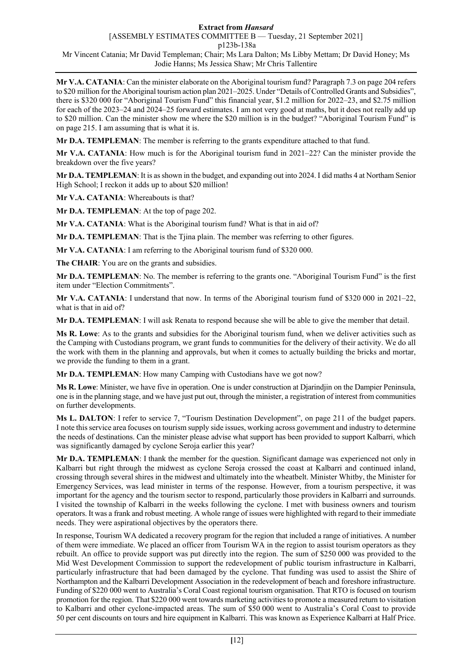**Mr V.A. CATANIA**: Can the minister elaborate on the Aboriginal tourism fund? Paragraph 7.3 on page 204 refers to \$20 million for the Aboriginal tourism action plan 2021–2025. Under "Details of Controlled Grants and Subsidies", there is \$320 000 for "Aboriginal Tourism Fund" this financial year, \$1.2 million for 2022–23, and \$2.75 million for each of the 2023–24 and 2024–25 forward estimates. I am not very good at maths, but it does not really add up to \$20 million. Can the minister show me where the \$20 million is in the budget? "Aboriginal Tourism Fund" is on page 215. I am assuming that is what it is.

**Mr D.A. TEMPLEMAN**: The member is referring to the grants expenditure attached to that fund.

**Mr V.A. CATANIA**: How much is for the Aboriginal tourism fund in 2021–22? Can the minister provide the breakdown over the five years?

**Mr D.A. TEMPLEMAN**: It is as shown in the budget, and expanding out into 2024. I did maths 4 at Northam Senior High School; I reckon it adds up to about \$20 million!

**Mr V.A. CATANIA**: Whereabouts is that?

**Mr D.A. TEMPLEMAN**: At the top of page 202.

**Mr V.A. CATANIA**: What is the Aboriginal tourism fund? What is that in aid of?

**Mr D.A. TEMPLEMAN**: That is the Tjina plain. The member was referring to other figures.

**Mr V.A. CATANIA**: I am referring to the Aboriginal tourism fund of \$320 000.

**The CHAIR**: You are on the grants and subsidies.

**Mr D.A. TEMPLEMAN**: No. The member is referring to the grants one. "Aboriginal Tourism Fund" is the first item under "Election Commitments".

**Mr V.A. CATANIA**: I understand that now. In terms of the Aboriginal tourism fund of \$320 000 in 2021–22, what is that in aid of?

**Mr D.A. TEMPLEMAN**: I will ask Renata to respond because she will be able to give the member that detail.

**Ms R. Lowe**: As to the grants and subsidies for the Aboriginal tourism fund, when we deliver activities such as the Camping with Custodians program, we grant funds to communities for the delivery of their activity. We do all the work with them in the planning and approvals, but when it comes to actually building the bricks and mortar, we provide the funding to them in a grant.

**Mr D.A. TEMPLEMAN**: How many Camping with Custodians have we got now?

**Ms R. Lowe**: Minister, we have five in operation. One is under construction at Djarindjin on the Dampier Peninsula, one is in the planning stage, and we have just put out, through the minister, a registration of interest from communities on further developments.

**Ms L. DALTON**: I refer to service 7, "Tourism Destination Development", on page 211 of the budget papers. I note this service area focuses on tourism supply side issues, working across government and industry to determine the needs of destinations. Can the minister please advise what support has been provided to support Kalbarri, which was significantly damaged by cyclone Seroja earlier this year?

**Mr D.A. TEMPLEMAN**: I thank the member for the question. Significant damage was experienced not only in Kalbarri but right through the midwest as cyclone Seroja crossed the coast at Kalbarri and continued inland, crossing through several shires in the midwest and ultimately into the wheatbelt. Minister Whitby, the Minister for Emergency Services, was lead minister in terms of the response. However, from a tourism perspective, it was important for the agency and the tourism sector to respond, particularly those providers in Kalbarri and surrounds. I visited the township of Kalbarri in the weeks following the cyclone. I met with business owners and tourism operators. It was a frank and robust meeting. A whole range of issues were highlighted with regard to their immediate needs. They were aspirational objectives by the operators there.

In response, Tourism WA dedicated a recovery program for the region that included a range of initiatives. A number of them were immediate. We placed an officer from Tourism WA in the region to assist tourism operators as they rebuilt. An office to provide support was put directly into the region. The sum of \$250 000 was provided to the Mid West Development Commission to support the redevelopment of public tourism infrastructure in Kalbarri, particularly infrastructure that had been damaged by the cyclone. That funding was used to assist the Shire of Northampton and the Kalbarri Development Association in the redevelopment of beach and foreshore infrastructure. Funding of \$220 000 went to Australia's Coral Coast regional tourism organisation. That RTO is focused on tourism promotion for the region. That \$220 000 went towards marketing activities to promote a measured return to visitation to Kalbarri and other cyclone-impacted areas. The sum of \$50 000 went to Australia's Coral Coast to provide 50 per cent discounts on tours and hire equipment in Kalbarri. This was known as Experience Kalbarri at Half Price.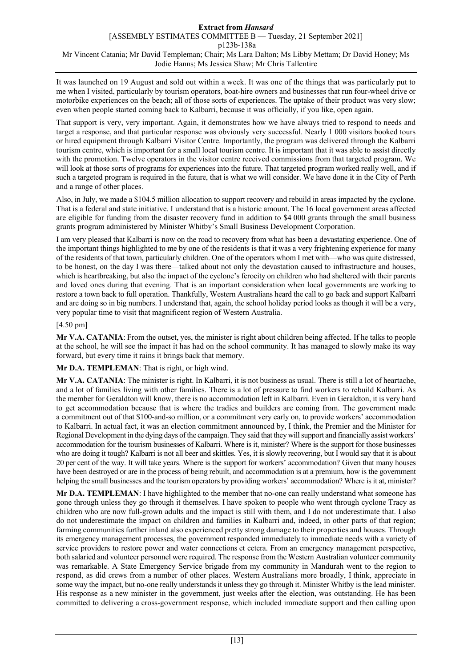It was launched on 19 August and sold out within a week. It was one of the things that was particularly put to me when I visited, particularly by tourism operators, boat-hire owners and businesses that run four-wheel drive or motorbike experiences on the beach; all of those sorts of experiences. The uptake of their product was very slow; even when people started coming back to Kalbarri, because it was officially, if you like, open again.

That support is very, very important. Again, it demonstrates how we have always tried to respond to needs and target a response, and that particular response was obviously very successful. Nearly 1 000 visitors booked tours or hired equipment through Kalbarri Visitor Centre. Importantly, the program was delivered through the Kalbarri tourism centre, which is important for a small local tourism centre. It is important that it was able to assist directly with the promotion. Twelve operators in the visitor centre received commissions from that targeted program. We will look at those sorts of programs for experiences into the future. That targeted program worked really well, and if such a targeted program is required in the future, that is what we will consider. We have done it in the City of Perth and a range of other places.

Also, in July, we made a \$104.5 million allocation to support recovery and rebuild in areas impacted by the cyclone. That is a federal and state initiative. I understand that is a historic amount. The 16 local government areas affected are eligible for funding from the disaster recovery fund in addition to \$4 000 grants through the small business grants program administered by Minister Whitby's Small Business Development Corporation.

I am very pleased that Kalbarri is now on the road to recovery from what has been a devastating experience. One of the important things highlighted to me by one of the residents is that it was a very frightening experience for many of the residents of that town, particularly children. One of the operators whom I met with—who was quite distressed, to be honest, on the day I was there—talked about not only the devastation caused to infrastructure and houses, which is heartbreaking, but also the impact of the cyclone's ferocity on children who had sheltered with their parents and loved ones during that evening. That is an important consideration when local governments are working to restore a town back to full operation. Thankfully, Western Australians heard the call to go back and support Kalbarri and are doing so in big numbers. I understand that, again, the school holiday period looks as though it will be a very, very popular time to visit that magnificent region of Western Australia.

# [4.50 pm]

**Mr V.A. CATANIA**: From the outset, yes, the minister is right about children being affected. If he talks to people at the school, he will see the impact it has had on the school community. It has managed to slowly make its way forward, but every time it rains it brings back that memory.

**Mr D.A. TEMPLEMAN**: That is right, or high wind.

**Mr V.A. CATANIA**: The minister is right. In Kalbarri, it is not business as usual. There is still a lot of heartache, and a lot of families living with other families. There is a lot of pressure to find workers to rebuild Kalbarri. As the member for Geraldton will know, there is no accommodation left in Kalbarri. Even in Geraldton, it is very hard to get accommodation because that is where the tradies and builders are coming from. The government made a commitment out of that \$100-and-so million, or a commitment very early on, to provide workers' accommodation to Kalbarri. In actual fact, it was an election commitment announced by, I think, the Premier and the Minister for Regional Development in the dying days of the campaign. They said that they will support and financially assist workers' accommodation for the tourism businesses of Kalbarri. Where is it, minister? Where is the support for those businesses who are doing it tough? Kalbarri is not all beer and skittles. Yes, it is slowly recovering, but I would say that it is about 20 per cent of the way. It will take years. Where is the support for workers' accommodation? Given that many houses have been destroyed or are in the process of being rebuilt, and accommodation is at a premium, how is the government helping the small businesses and the tourism operators by providing workers' accommodation? Where is it at, minister?

**Mr D.A. TEMPLEMAN**: I have highlighted to the member that no-one can really understand what someone has gone through unless they go through it themselves. I have spoken to people who went through cyclone Tracy as children who are now full-grown adults and the impact is still with them, and I do not underestimate that. I also do not underestimate the impact on children and families in Kalbarri and, indeed, in other parts of that region; farming communities further inland also experienced pretty strong damage to their properties and houses. Through its emergency management processes, the government responded immediately to immediate needs with a variety of service providers to restore power and water connections et cetera. From an emergency management perspective, both salaried and volunteer personnel were required. The response from the Western Australian volunteer community was remarkable. A State Emergency Service brigade from my community in Mandurah went to the region to respond, as did crews from a number of other places. Western Australians more broadly, I think, appreciate in some way the impact, but no-one really understands it unless they go through it. Minister Whitby is the lead minister. His response as a new minister in the government, just weeks after the election, was outstanding. He has been committed to delivering a cross-government response, which included immediate support and then calling upon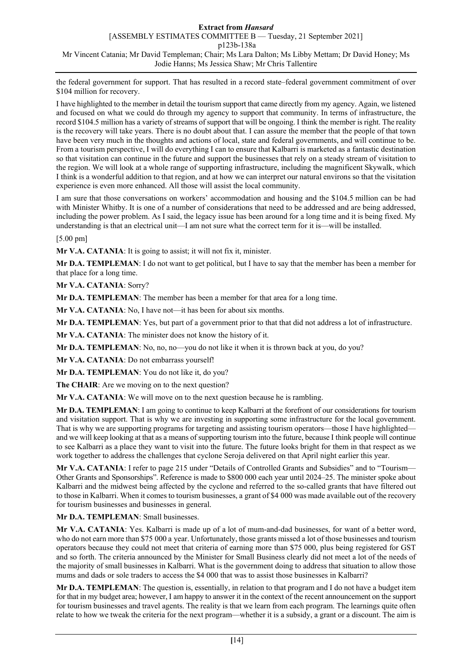the federal government for support. That has resulted in a record state–federal government commitment of over \$104 million for recovery.

I have highlighted to the member in detail the tourism support that came directly from my agency. Again, we listened and focused on what we could do through my agency to support that community. In terms of infrastructure, the record \$104.5 million has a variety of streams of support that will be ongoing. I think the member is right. The reality is the recovery will take years. There is no doubt about that. I can assure the member that the people of that town have been very much in the thoughts and actions of local, state and federal governments, and will continue to be. From a tourism perspective, I will do everything I can to ensure that Kalbarri is marketed as a fantastic destination so that visitation can continue in the future and support the businesses that rely on a steady stream of visitation to the region. We will look at a whole range of supporting infrastructure, including the magnificent Skywalk, which I think is a wonderful addition to that region, and at how we can interpret our natural environs so that the visitation experience is even more enhanced. All those will assist the local community.

I am sure that those conversations on workers' accommodation and housing and the \$104.5 million can be had with Minister Whitby. It is one of a number of considerations that need to be addressed and are being addressed, including the power problem. As I said, the legacy issue has been around for a long time and it is being fixed. My understanding is that an electrical unit—I am not sure what the correct term for it is—will be installed.

# [5.00 pm]

**Mr V.A. CATANIA**: It is going to assist; it will not fix it, minister.

**Mr D.A. TEMPLEMAN**: I do not want to get political, but I have to say that the member has been a member for that place for a long time.

**Mr V.A. CATANIA**: Sorry?

**Mr D.A. TEMPLEMAN**: The member has been a member for that area for a long time.

**Mr V.A. CATANIA**: No, I have not—it has been for about six months.

**Mr D.A. TEMPLEMAN**: Yes, but part of a government prior to that that did not address a lot of infrastructure.

**Mr V.A. CATANIA**: The minister does not know the history of it.

**Mr D.A. TEMPLEMAN**: No, no, no—you do not like it when it is thrown back at you, do you?

**Mr V.A. CATANIA**: Do not embarrass yourself!

**Mr D.A. TEMPLEMAN**: You do not like it, do you?

**The CHAIR**: Are we moving on to the next question?

**Mr V.A. CATANIA**: We will move on to the next question because he is rambling.

**Mr D.A. TEMPLEMAN**: I am going to continue to keep Kalbarri at the forefront of our considerations for tourism and visitation support. That is why we are investing in supporting some infrastructure for the local government. That is why we are supporting programs for targeting and assisting tourism operators—those I have highlighted and we will keep looking at that as a means of supporting tourism into the future, because I think people will continue to see Kalbarri as a place they want to visit into the future. The future looks bright for them in that respect as we work together to address the challenges that cyclone Seroja delivered on that April night earlier this year.

**Mr V.A. CATANIA**: I refer to page 215 under "Details of Controlled Grants and Subsidies" and to "Tourism— Other Grants and Sponsorships". Reference is made to \$800 000 each year until 2024–25. The minister spoke about Kalbarri and the midwest being affected by the cyclone and referred to the so-called grants that have filtered out to those in Kalbarri. When it comes to tourism businesses, a grant of \$4 000 was made available out of the recovery for tourism businesses and businesses in general.

### **Mr D.A. TEMPLEMAN**: Small businesses.

**Mr V.A. CATANIA**: Yes. Kalbarri is made up of a lot of mum-and-dad businesses, for want of a better word, who do not earn more than \$75 000 a year. Unfortunately, those grants missed a lot of those businesses and tourism operators because they could not meet that criteria of earning more than \$75 000, plus being registered for GST and so forth. The criteria announced by the Minister for Small Business clearly did not meet a lot of the needs of the majority of small businesses in Kalbarri. What is the government doing to address that situation to allow those mums and dads or sole traders to access the \$4 000 that was to assist those businesses in Kalbarri?

**Mr D.A. TEMPLEMAN**: The question is, essentially, in relation to that program and I do not have a budget item for that in my budget area; however, I am happy to answer it in the context of the recent announcement on the support for tourism businesses and travel agents. The reality is that we learn from each program. The learnings quite often relate to how we tweak the criteria for the next program—whether it is a subsidy, a grant or a discount. The aim is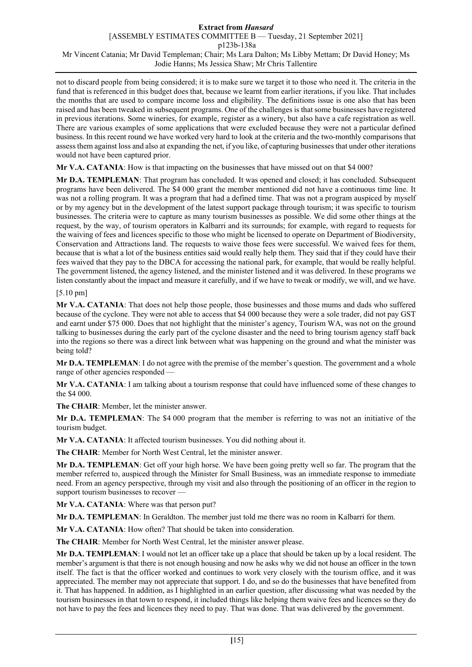not to discard people from being considered; it is to make sure we target it to those who need it. The criteria in the fund that is referenced in this budget does that, because we learnt from earlier iterations, if you like. That includes the months that are used to compare income loss and eligibility. The definitions issue is one also that has been raised and has been tweaked in subsequent programs. One of the challenges is that some businesses have registered in previous iterations. Some wineries, for example, register as a winery, but also have a cafe registration as well. There are various examples of some applications that were excluded because they were not a particular defined business. In this recent round we have worked very hard to look at the criteria and the two-monthly comparisons that assess them against loss and also at expanding the net, if you like, of capturing businesses that under other iterations would not have been captured prior.

**Mr V.A. CATANIA**: How is that impacting on the businesses that have missed out on that \$4 000?

**Mr D.A. TEMPLEMAN**: That program has concluded. It was opened and closed; it has concluded. Subsequent programs have been delivered. The \$4 000 grant the member mentioned did not have a continuous time line. It was not a rolling program. It was a program that had a defined time. That was not a program auspiced by myself or by my agency but in the development of the latest support package through tourism; it was specific to tourism businesses. The criteria were to capture as many tourism businesses as possible. We did some other things at the request, by the way, of tourism operators in Kalbarri and its surrounds; for example, with regard to requests for the waiving of fees and licences specific to those who might be licensed to operate on Department of Biodiversity, Conservation and Attractions land. The requests to waive those fees were successful. We waived fees for them, because that is what a lot of the business entities said would really help them. They said that if they could have their fees waived that they pay to the DBCA for accessing the national park, for example, that would be really helpful. The government listened, the agency listened, and the minister listened and it was delivered. In these programs we listen constantly about the impact and measure it carefully, and if we have to tweak or modify, we will, and we have.

# [5.10 pm]

**Mr V.A. CATANIA**: That does not help those people, those businesses and those mums and dads who suffered because of the cyclone. They were not able to access that \$4 000 because they were a sole trader, did not pay GST and earnt under \$75 000. Does that not highlight that the minister's agency, Tourism WA, was not on the ground talking to businesses during the early part of the cyclone disaster and the need to bring tourism agency staff back into the regions so there was a direct link between what was happening on the ground and what the minister was being told?

**Mr D.A. TEMPLEMAN**: I do not agree with the premise of the member's question. The government and a whole range of other agencies responded —

**Mr V.A. CATANIA**: I am talking about a tourism response that could have influenced some of these changes to the \$4 000.

**The CHAIR**: Member, let the minister answer.

**Mr D.A. TEMPLEMAN**: The \$4 000 program that the member is referring to was not an initiative of the tourism budget.

**Mr V.A. CATANIA**: It affected tourism businesses. You did nothing about it.

**The CHAIR**: Member for North West Central, let the minister answer.

**Mr D.A. TEMPLEMAN**: Get off your high horse. We have been going pretty well so far. The program that the member referred to, auspiced through the Minister for Small Business, was an immediate response to immediate need. From an agency perspective, through my visit and also through the positioning of an officer in the region to support tourism businesses to recover -

**Mr V.A. CATANIA**: Where was that person put?

**Mr D.A. TEMPLEMAN**: In Geraldton. The member just told me there was no room in Kalbarri for them.

**Mr V.A. CATANIA**: How often? That should be taken into consideration.

**The CHAIR**: Member for North West Central, let the minister answer please.

**Mr D.A. TEMPLEMAN**: I would not let an officer take up a place that should be taken up by a local resident. The member's argument is that there is not enough housing and now he asks why we did not house an officer in the town itself. The fact is that the officer worked and continues to work very closely with the tourism office, and it was appreciated. The member may not appreciate that support. I do, and so do the businesses that have benefited from it. That has happened. In addition, as I highlighted in an earlier question, after discussing what was needed by the tourism businesses in that town to respond, it included things like helping them waive fees and licences so they do not have to pay the fees and licences they need to pay. That was done. That was delivered by the government.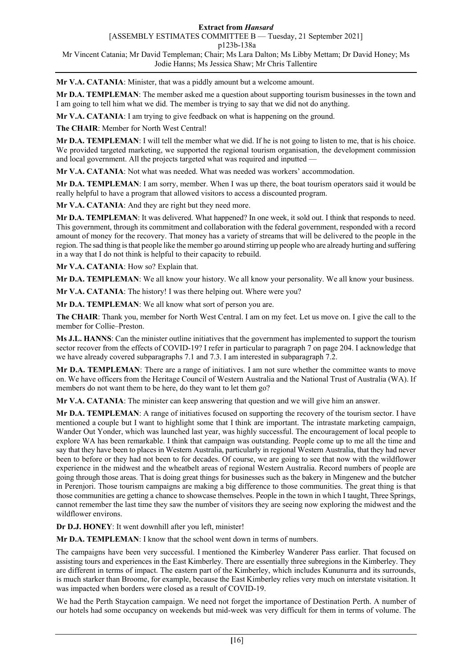**Mr V.A. CATANIA**: Minister, that was a piddly amount but a welcome amount.

**Mr D.A. TEMPLEMAN**: The member asked me a question about supporting tourism businesses in the town and I am going to tell him what we did. The member is trying to say that we did not do anything.

**Mr V.A. CATANIA**: I am trying to give feedback on what is happening on the ground.

**The CHAIR**: Member for North West Central!

**Mr D.A. TEMPLEMAN**: I will tell the member what we did. If he is not going to listen to me, that is his choice. We provided targeted marketing, we supported the regional tourism organisation, the development commission and local government. All the projects targeted what was required and inputted -

**Mr V.A. CATANIA**: Not what was needed. What was needed was workers' accommodation.

**Mr D.A. TEMPLEMAN**: I am sorry, member. When I was up there, the boat tourism operators said it would be really helpful to have a program that allowed visitors to access a discounted program.

**Mr V.A. CATANIA**: And they are right but they need more.

**Mr D.A. TEMPLEMAN**: It was delivered. What happened? In one week, it sold out. I think that responds to need. This government, through its commitment and collaboration with the federal government, responded with a record amount of money for the recovery. That money has a variety of streams that will be delivered to the people in the region. The sad thing is that people like the member go around stirring up people who are already hurting and suffering in a way that I do not think is helpful to their capacity to rebuild.

**Mr V.A. CATANIA**: How so? Explain that.

**Mr D.A. TEMPLEMAN**: We all know your history. We all know your personality. We all know your business.

**Mr V.A. CATANIA**: The history! I was there helping out. Where were you?

**Mr D.A. TEMPLEMAN**: We all know what sort of person you are.

**The CHAIR**: Thank you, member for North West Central. I am on my feet. Let us move on. I give the call to the member for Collie–Preston.

**Ms J.L. HANNS**: Can the minister outline initiatives that the government has implemented to support the tourism sector recover from the effects of COVID-19? I refer in particular to paragraph 7 on page 204. I acknowledge that we have already covered subparagraphs 7.1 and 7.3. I am interested in subparagraph 7.2.

**Mr D.A. TEMPLEMAN**: There are a range of initiatives. I am not sure whether the committee wants to move on. We have officers from the Heritage Council of Western Australia and the National Trust of Australia (WA). If members do not want them to be here, do they want to let them go?

**Mr V.A. CATANIA**: The minister can keep answering that question and we will give him an answer.

**Mr D.A. TEMPLEMAN**: A range of initiatives focused on supporting the recovery of the tourism sector. I have mentioned a couple but I want to highlight some that I think are important. The intrastate marketing campaign, Wander Out Yonder, which was launched last year, was highly successful. The encouragement of local people to explore WA has been remarkable. I think that campaign was outstanding. People come up to me all the time and say that they have been to places in Western Australia, particularly in regional Western Australia, that they had never been to before or they had not been to for decades. Of course, we are going to see that now with the wildflower experience in the midwest and the wheatbelt areas of regional Western Australia. Record numbers of people are going through those areas. That is doing great things for businesses such as the bakery in Mingenew and the butcher in Perenjori. Those tourism campaigns are making a big difference to those communities. The great thing is that those communities are getting a chance to showcase themselves. People in the town in which I taught, Three Springs, cannot remember the last time they saw the number of visitors they are seeing now exploring the midwest and the wildflower environs.

**Dr D.J. HONEY**: It went downhill after you left, minister!

**Mr D.A. TEMPLEMAN**: I know that the school went down in terms of numbers.

The campaigns have been very successful. I mentioned the Kimberley Wanderer Pass earlier. That focused on assisting tours and experiences in the East Kimberley. There are essentially three subregions in the Kimberley. They are different in terms of impact. The eastern part of the Kimberley, which includes Kununurra and its surrounds, is much starker than Broome, for example, because the East Kimberley relies very much on interstate visitation. It was impacted when borders were closed as a result of COVID-19.

We had the Perth Staycation campaign. We need not forget the importance of Destination Perth. A number of our hotels had some occupancy on weekends but mid-week was very difficult for them in terms of volume. The